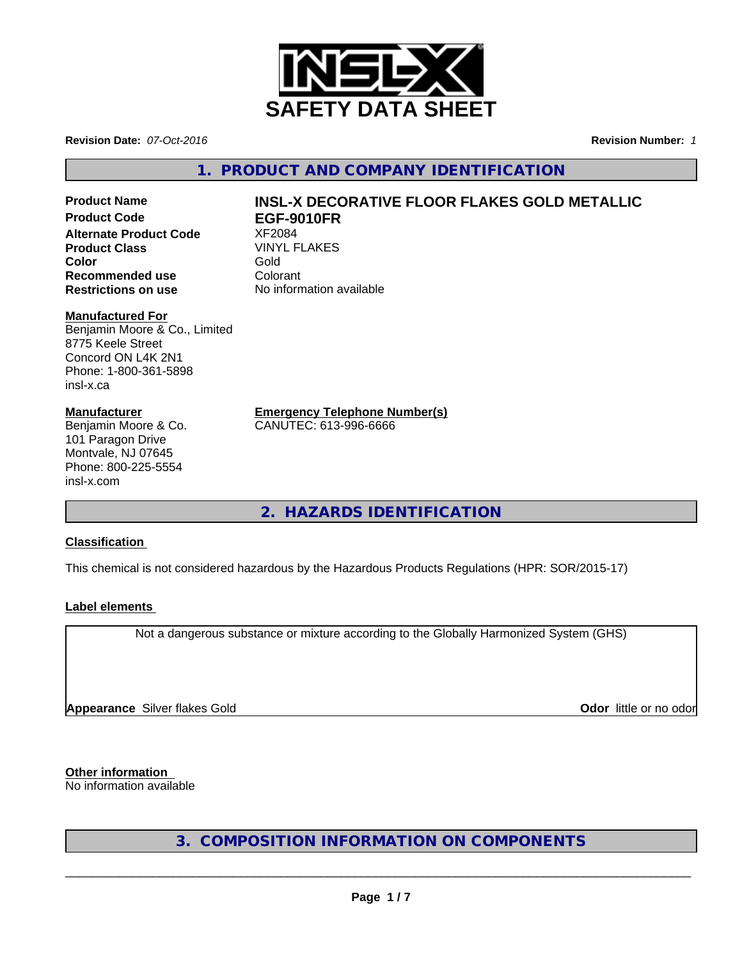

**Revision Date:** *07-Oct-2016* **Revision Number:** *1*

**1. PRODUCT AND COMPANY IDENTIFICATION**

**Product Code EGF-9010FR Alternate Product Code 8 XF2084**<br>**Product Class** WINYL FLAKES **Product Class** VINY<br> **Color** Gold **Color** Gold **Recommended use** Colorant<br> **Restrictions on use** No inform

### **Manufactured For**

Benjamin Moore & Co., Limited 8775 Keele Street Concord ON L4K 2N1 Phone: 1-800-361-5898 insl-x.ca

### **Manufacturer**

Benjamin Moore & Co. 101 Paragon Drive Montvale, NJ 07645 Phone: 800-225-5554 insl-x.com

# **Product Name INSL-X DECORATIVE FLOOR FLAKES GOLD METALLIC**

**Restrictions on use** No information available

**Emergency Telephone Number(s)**

CANUTEC: 613-996-6666

**2. HAZARDS IDENTIFICATION**

### **Classification**

This chemical is not considered hazardous by the Hazardous Products Regulations (HPR: SOR/2015-17)

### **Label elements**

Not a dangerous substance or mixture according to the Globally Harmonized System (GHS)

**Appearance** Silver flakes Gold **Contract Contract Contract Contract Contract Contract Contract Contract Contract Contract Contract Contract Contract Contract Contract Contract Contract Contract Contract Contract Contract** 

**Other information** No information available

**3. COMPOSITION INFORMATION ON COMPONENTS**

 $\overline{\phantom{a}}$  ,  $\overline{\phantom{a}}$  ,  $\overline{\phantom{a}}$  ,  $\overline{\phantom{a}}$  ,  $\overline{\phantom{a}}$  ,  $\overline{\phantom{a}}$  ,  $\overline{\phantom{a}}$  ,  $\overline{\phantom{a}}$  ,  $\overline{\phantom{a}}$  ,  $\overline{\phantom{a}}$  ,  $\overline{\phantom{a}}$  ,  $\overline{\phantom{a}}$  ,  $\overline{\phantom{a}}$  ,  $\overline{\phantom{a}}$  ,  $\overline{\phantom{a}}$  ,  $\overline{\phantom{a}}$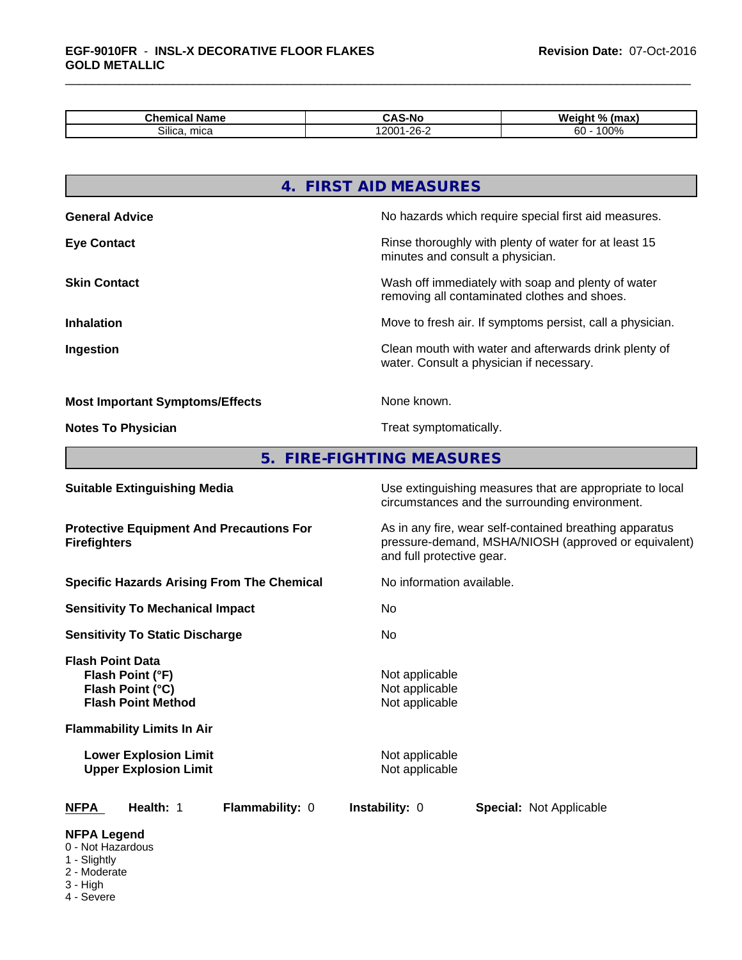| nor <sup>-</sup><br>Name<br>Chemical | -Nc<br>. .<br>ື<br>                                 | . .<br>$^{\circ}$<br><b>Welgin</b><br>(max)<br>. |
|--------------------------------------|-----------------------------------------------------|--------------------------------------------------|
| $\sim \cdots$<br>mica<br>Silica.     | $\mathbf{a} \mathbf{a} \mathbf{b}$<br>$\sim$<br>-v· | $\sim$ $\sim$<br>$\sim$<br>ou<br>ו טש            |

|                                                                                              | 4. FIRST AID MEASURES                                                                                                                        |  |  |
|----------------------------------------------------------------------------------------------|----------------------------------------------------------------------------------------------------------------------------------------------|--|--|
| <b>General Advice</b>                                                                        | No hazards which require special first aid measures.                                                                                         |  |  |
| <b>Eye Contact</b>                                                                           | Rinse thoroughly with plenty of water for at least 15<br>minutes and consult a physician.                                                    |  |  |
| <b>Skin Contact</b>                                                                          | Wash off immediately with soap and plenty of water<br>removing all contaminated clothes and shoes.                                           |  |  |
| <b>Inhalation</b>                                                                            | Move to fresh air. If symptoms persist, call a physician.                                                                                    |  |  |
| Ingestion                                                                                    | Clean mouth with water and afterwards drink plenty of<br>water. Consult a physician if necessary.                                            |  |  |
| <b>Most Important Symptoms/Effects</b>                                                       | None known.                                                                                                                                  |  |  |
| <b>Notes To Physician</b>                                                                    | Treat symptomatically.                                                                                                                       |  |  |
| 5.                                                                                           | <b>FIRE-FIGHTING MEASURES</b>                                                                                                                |  |  |
| <b>Suitable Extinguishing Media</b>                                                          | Use extinguishing measures that are appropriate to local<br>circumstances and the surrounding environment.                                   |  |  |
| <b>Protective Equipment And Precautions For</b><br><b>Firefighters</b>                       | As in any fire, wear self-contained breathing apparatus<br>pressure-demand, MSHA/NIOSH (approved or equivalent)<br>and full protective gear. |  |  |
| <b>Specific Hazards Arising From The Chemical</b>                                            | No information available.                                                                                                                    |  |  |
| <b>Sensitivity To Mechanical Impact</b>                                                      | No                                                                                                                                           |  |  |
| <b>Sensitivity To Static Discharge</b>                                                       | No.                                                                                                                                          |  |  |
| <b>Flash Point Data</b><br>Flash Point (°F)<br>Flash Point (°C)<br><b>Flash Point Method</b> | Not applicable<br>Not applicable<br>Not applicable                                                                                           |  |  |
| <b>Flammability Limits In Air</b>                                                            |                                                                                                                                              |  |  |

**Lower Explosion Limit** Not applicable Not applicable Not applicable Not applicable Not applicable Not applicable Not applicable Not applicable Not applicable Not applicable Not applicable Not applicable Not applicable Not **Upper Explosion Limit** Not applicable Not applicable Not applicable Not applicable Not applicable Not applicable Not applicable Not applicable Not applicable Not applicable Not applicable Not applicable Not applicable Not

| <b>NFPA</b> | Health: 1 |  | Flar |
|-------------|-----------|--|------|
|-------------|-----------|--|------|

**mmability:** 0 **Instability:** 0 **Special:** Not Applicable

### **NFPA Legend**

- 0 Not Hazardous
- 1 Slightly
- 2 Moderate
- 3 High
- 4 Severe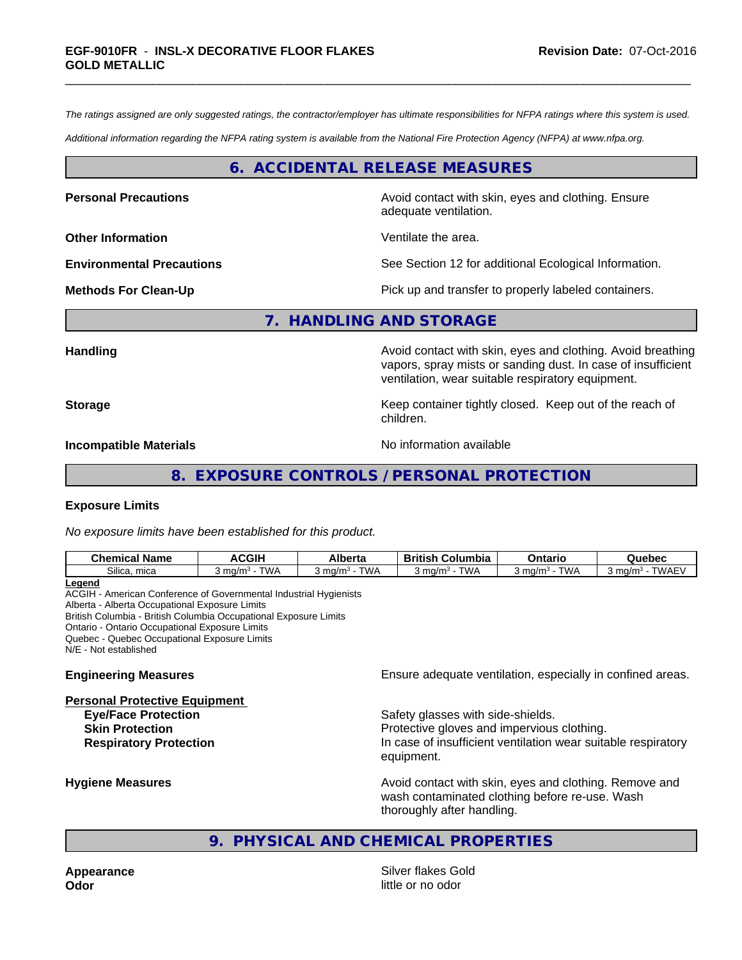*The ratings assigned are only suggested ratings, the contractor/employer has ultimate responsibilities for NFPA ratings where this system is used.*

*Additional information regarding the NFPA rating system is available from the National Fire Protection Agency (NFPA) at www.nfpa.org.*

### **6. ACCIDENTAL RELEASE MEASURES**

**Personal Precautions Avoid contact with skin, eyes and clothing. Ensure** Avoid contact with skin, eyes and clothing. Ensure

**Other Information** Ventilate the area.

adequate ventilation.

**Environmental Precautions** See Section 12 for additional Ecological Information.

**Methods For Clean-Up Pick up and transfer to properly labeled containers.** 

**7. HANDLING AND STORAGE**

**Handling Handling Avoid contact with skin, eyes and clothing. Avoid breathing** vapors, spray mists or sanding dust. In case of insufficient ventilation, wear suitable respiratory equipment.

**Storage Keep container tightly closed. Keep out of the reach of Keep** container tightly closed. Keep out of the reach of children.

**Incompatible Materials** Noinformation available

### **8. EXPOSURE CONTROLS / PERSONAL PROTECTION**

### **Exposure Limits**

*No exposure limits have been established for this product.*

| —<br>$\sim \cdots$ | $\sim$<br><b>Chemical Name</b> | <b>ACGIH</b>      | <b>Alberta</b> | .<br>Columbia<br><b>British</b> | Ontaric             | Quebec             |
|--------------------|--------------------------------|-------------------|----------------|---------------------------------|---------------------|--------------------|
|                    | Silica.                        | <b>TWA</b>        | <b>TWA</b>     | <b>TWA</b>                      | W۸                  | <b>TWAE\</b>       |
|                    | mica                           | ma/m <sup>3</sup> | `ma/m`         | ⊦ma/m∙                          | 3 ma/m <sup>.</sup> | $3 \text{ ma/m}^3$ |

**Legend** ACGIH - American Conference of Governmental Industrial Hygienists Alberta - Alberta Occupational Exposure Limits British Columbia - British Columbia Occupational Exposure Limits Ontario - Ontario Occupational Exposure Limits Quebec - Quebec Occupational Exposure Limits N/E - Not established

#### **Personal Protective Equipment**

**Engineering Measures Ensure** Ensure adequate ventilation, especially in confined areas.

**Eye/Face Protection** Safety glasses with side-shields. **Skin Protection Protection Protective gloves and impervious clothing. Respiratory Protection In case of insufficient ventilation wear suitable respiratory** equipment.

**Hygiene Measures Avoid contact with skin, eyes and clothing. Remove and Avoid contact with skin, eyes and clothing. Remove and Avoid contact with skin, eyes and clothing. Remove and** wash contaminated clothing before re-use. Wash thoroughly after handling.

### **9. PHYSICAL AND CHEMICAL PROPERTIES**

**Appearance Appearance Silver flakes Gold Odor** little or no odor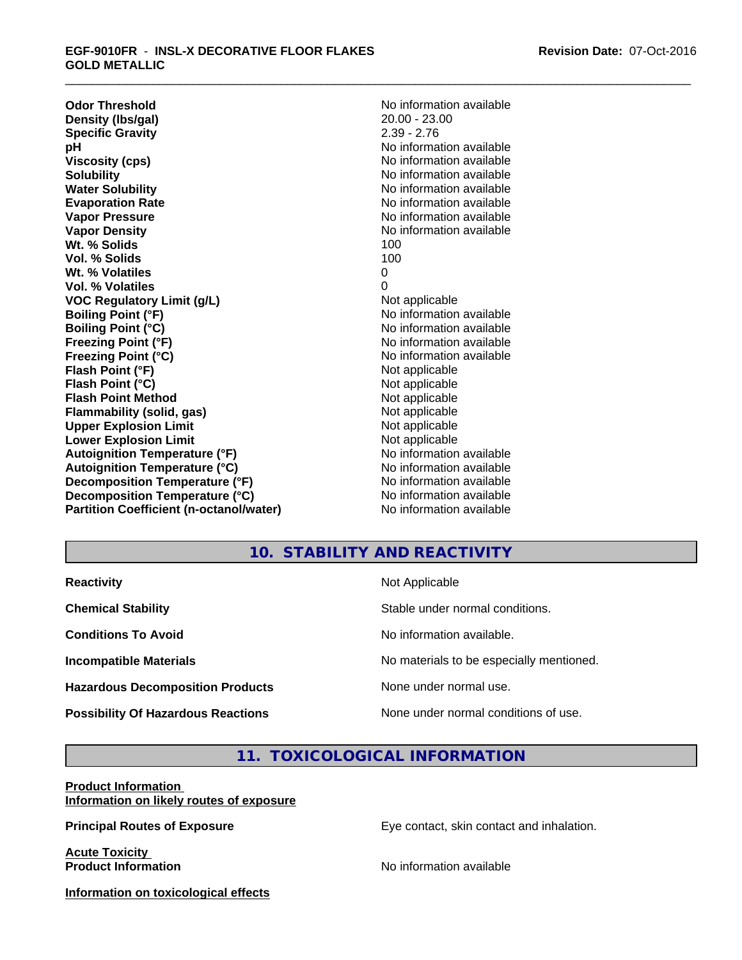**Odor Threshold**<br> **Density (Ibs/gal)**<br> **Density (Ibs/gal)**<br>
20.00 - 23.00 **Density (Ibs/gal)** 20.00 - 23.00<br> **Specific Gravity** 2.39 - 2.76 **Specific Gravity pH** No information available **Viscosity (cps)** No information available Notice 1, 1999 **Solubility Note 2008 Note 2008 Note 2008 Note 2008 Note 2008 Note 2008 Note 2008 Note 2008 Note 2008 Note 2008 Note 2008 Note 2008 Note 2008 Note 2008 Note 2008 Note 2008 Note 2008 Note Water Solubility No information available No information available Evaporation Rate No information available No information available Vapor Pressure** No information available No information available **Vapor Density No information available No information available Wt. % Solids** 100 **Vol. % Solids** 100 **Wt. % Volatiles** 0 **Vol. % Volatiles** 0 **VOC** Regulatory Limit (g/L) Not applicable **Boiling Point (°F) Boiling Point (°F)** No information available **Boiling Point (°C)** No information available **Freezing Point (°F)** No information available **Freezing Point (°C)** No information available **Flash Point (°F)** Not applicable **Flash Point (°C)** Not applicable **Flash Point Method**<br> **Flammability (solid, gas)**<br>
Not applicable<br>
Not applicable **Flammability** (solid, gas) **Upper Explosion Limit**<br> **Lower Explosion Limit**<br> **Lower Explosion Limit Lower Explosion Limit**<br> **Autoignition Temperature (°F)**<br> **Autoignition Temperature (°F)**<br> **Autoignition Temperature (°F)**<br> **Autoignition Temperature (°F) Autoignition Temperature (°F) Autoignition Temperature (°C)** No information available **Decomposition Temperature (°F)** No information available **Decomposition Temperature (°C)** No information available **Partition Coefficient (n-octanol/water)** No information available

## **10. STABILITY AND REACTIVITY**

| <b>Reactivity</b>                         | Not Applicable                           |
|-------------------------------------------|------------------------------------------|
| <b>Chemical Stability</b>                 | Stable under normal conditions.          |
| <b>Conditions To Avoid</b>                | No information available.                |
| <b>Incompatible Materials</b>             | No materials to be especially mentioned. |
| <b>Hazardous Decomposition Products</b>   | None under normal use.                   |
| <b>Possibility Of Hazardous Reactions</b> | None under normal conditions of use.     |

### **11. TOXICOLOGICAL INFORMATION**

### **Product Information Information on likely routes of exposure**

**Principal Routes of Exposure Exposure** Eye contact, skin contact and inhalation.

**Acute Toxicity Product Information Product Information** 

**Information on toxicological effects**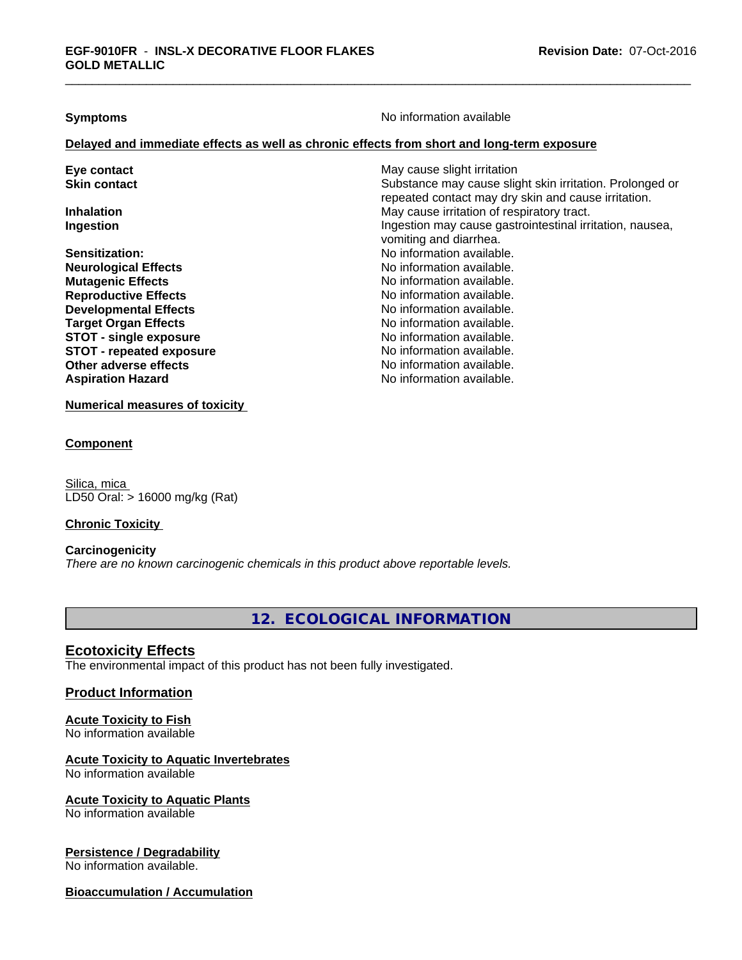**Symptoms** No information available

### **Delayed and immediate effects as well as chronic effects from short and long-term exposure**

| Eye contact                     | May cause slight irritation                              |
|---------------------------------|----------------------------------------------------------|
| <b>Skin contact</b>             | Substance may cause slight skin irritation. Prolonged or |
|                                 | repeated contact may dry skin and cause irritation.      |
| <b>Inhalation</b>               | May cause irritation of respiratory tract.               |
| Ingestion                       | Ingestion may cause gastrointestinal irritation, nausea, |
|                                 | vomiting and diarrhea.                                   |
| <b>Sensitization:</b>           | No information available.                                |
| <b>Neurological Effects</b>     | No information available.                                |
| <b>Mutagenic Effects</b>        | No information available.                                |
| <b>Reproductive Effects</b>     | No information available.                                |
| <b>Developmental Effects</b>    | No information available.                                |
| <b>Target Organ Effects</b>     | No information available.                                |
| <b>STOT - single exposure</b>   | No information available.                                |
| <b>STOT - repeated exposure</b> | No information available.                                |
| Other adverse effects           | No information available.                                |
| <b>Aspiration Hazard</b>        | No information available.                                |

**Numerical measures of toxicity**

### **Component**

Silica, mica LD50 Oral: > 16000 mg/kg (Rat)

### **Chronic Toxicity**

### **Carcinogenicity**

*There are no known carcinogenic chemicals in this product above reportable levels.*

**12. ECOLOGICAL INFORMATION**

### **Ecotoxicity Effects**

The environmental impact of this product has not been fully investigated.

### **Product Information**

# **Acute Toxicity to Fish**

No information available

## **Acute Toxicity to Aquatic Invertebrates**

No information available

### **Acute Toxicity to Aquatic Plants**

No information available

### **Persistence / Degradability**

No information available.

### **Bioaccumulation / Accumulation**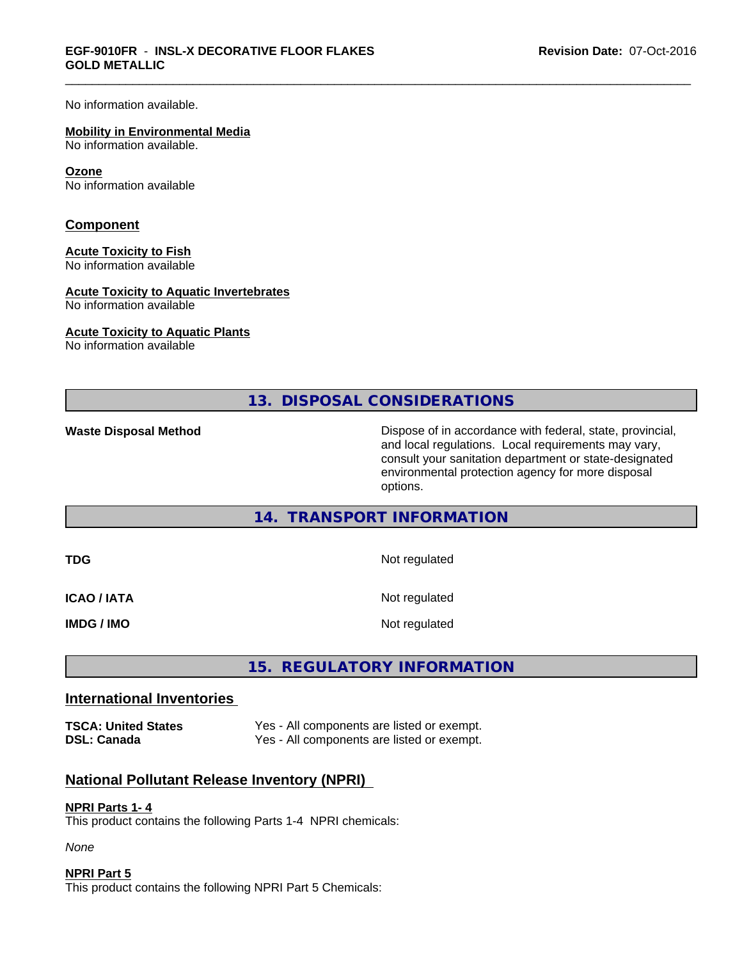No information available.

#### **Mobility in Environmental Media**

No information available.

#### **Ozone**

No information available

### **Component**

### **Acute Toxicity to Fish**

No information available

### **Acute Toxicity to Aquatic Invertebrates**

No information available

#### **Acute Toxicity to Aquatic Plants**

No information available

**13. DISPOSAL CONSIDERATIONS**

**Waste Disposal Method Dispose of in accordance with federal, state, provincial,** and local regulations. Local requirements may vary, consult your sanitation department or state-designated environmental protection agency for more disposal options.

### **14. TRANSPORT INFORMATION**

| TDG         | Not regulated |
|-------------|---------------|
| ICAO / IATA | Not regulated |
| IMDG / IMO  | Not regulated |

## **15. REGULATORY INFORMATION**

### **International Inventories**

**TSCA: United States** Yes - All components are listed or exempt. **DSL: Canada** Yes - All components are listed or exempt.

### **National Pollutant Release Inventory (NPRI)**

### **NPRI Parts 1- 4**

This product contains the following Parts 1-4 NPRI chemicals:

*None*

### **NPRI Part 5**

This product contains the following NPRI Part 5 Chemicals: